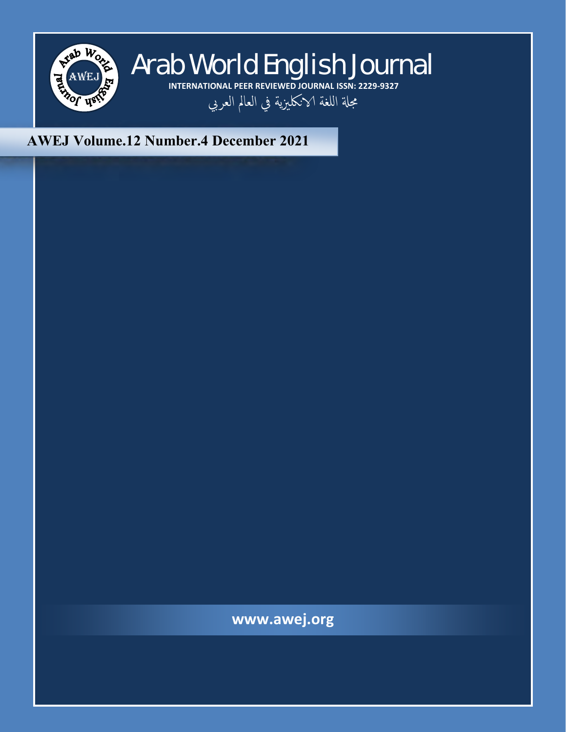

# AWEJ Arab World English Journal **INTERNATIONAL PEER REVIEWED JOURNAL ISSN: 2229-9327** مجلة اللغة الانكليزية في العالم العربي

# **AWEJ Volume.12 Number.4 December 2021**

**www.awej.org**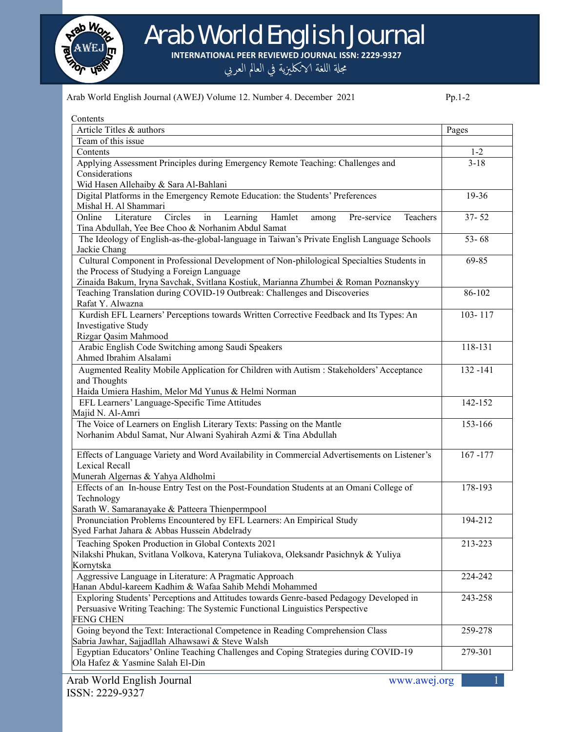

Arab World English Journal

**INTERNATIONAL PEER REVIEWED JOURNAL ISSN: 2229-9327**

مجلة اللغة الانكليزية في العالم العربي

#### Arab World English Journal (AWEJ) Volume 12. Number 4. December 2021 Pp.1-2

| Contents                                                                                                                                                                |             |
|-------------------------------------------------------------------------------------------------------------------------------------------------------------------------|-------------|
| Article Titles & authors                                                                                                                                                | Pages       |
| Team of this issue                                                                                                                                                      |             |
| Contents                                                                                                                                                                | $1 - 2$     |
| Applying Assessment Principles during Emergency Remote Teaching: Challenges and                                                                                         | $3 - 18$    |
| Considerations                                                                                                                                                          |             |
| Wid Hasen Allehaiby & Sara Al-Bahlani                                                                                                                                   |             |
| Digital Platforms in the Emergency Remote Education: the Students' Preferences                                                                                          | 19-36       |
| Mishal H. Al Shammari                                                                                                                                                   |             |
| Literature<br>Circles<br>Learning<br>Hamlet<br>Pre-service<br>Online<br>Teachers<br>in<br>among<br>Tina Abdullah, Yee Bee Choo & Norhanim Abdul Samat                   | $37 - 52$   |
| The Ideology of English-as-the-global-language in Taiwan's Private English Language Schools<br>Jackie Chang                                                             | $53 - 68$   |
| Cultural Component in Professional Development of Non-philological Specialties Students in                                                                              | 69-85       |
| the Process of Studying a Foreign Language                                                                                                                              |             |
| Zinaida Bakum, Iryna Savchak, Svitlana Kostiuk, Marianna Zhumbei & Roman Poznanskyy                                                                                     |             |
| Teaching Translation during COVID-19 Outbreak: Challenges and Discoveries<br>Rafat Y. Alwazna                                                                           | 86-102      |
| Kurdish EFL Learners' Perceptions towards Written Corrective Feedback and Its Types: An<br>Investigative Study<br>Rizgar Qasim Mahmood                                  | 103-117     |
| Arabic English Code Switching among Saudi Speakers                                                                                                                      | 118-131     |
| Ahmed Ibrahim Alsalami                                                                                                                                                  |             |
| Augmented Reality Mobile Application for Children with Autism : Stakeholders' Acceptance<br>and Thoughts                                                                | 132-141     |
| Haida Umiera Hashim, Melor Md Yunus & Helmi Norman                                                                                                                      |             |
| EFL Learners' Language-Specific Time Attitudes                                                                                                                          | 142-152     |
| Majid N. Al-Amri                                                                                                                                                        |             |
| The Voice of Learners on English Literary Texts: Passing on the Mantle<br>Norhanim Abdul Samat, Nur Alwani Syahirah Azmi & Tina Abdullah                                | 153-166     |
| Effects of Language Variety and Word Availability in Commercial Advertisements on Listener's<br>Lexical Recall                                                          | $167 - 177$ |
| Munerah Algernas & Yahya Aldholmi                                                                                                                                       |             |
| Effects of an In-house Entry Test on the Post-Foundation Students at an Omani College of<br>Technology                                                                  | 178-193     |
| Sarath W. Samaranayake & Patteera Thienpermpool                                                                                                                         |             |
| Pronunciation Problems Encountered by EFL Learners: An Empirical Study<br>Syed Farhat Jahara & Abbas Hussein Abdelrady                                                  | 194-212     |
| Teaching Spoken Production in Global Contexts 2021                                                                                                                      | 213-223     |
| Nilakshi Phukan, Svitlana Volkova, Kateryna Tuliakova, Oleksandr Pasichnyk & Yuliya                                                                                     |             |
| Kornytska                                                                                                                                                               |             |
| Aggressive Language in Literature: A Pragmatic Approach                                                                                                                 | 224-242     |
| Hanan Abdul-kareem Kadhim & Wafaa Sahib Mehdi Mohammed                                                                                                                  |             |
| Exploring Students' Perceptions and Attitudes towards Genre-based Pedagogy Developed in<br>Persuasive Writing Teaching: The Systemic Functional Linguistics Perspective | 243-258     |
| <b>FENG CHEN</b>                                                                                                                                                        |             |
| Going beyond the Text: Interactional Competence in Reading Comprehension Class<br>Sabria Jawhar, Sajjadllah Alhawsawi & Steve Walsh                                     | 259-278     |
| Egyptian Educators' Online Teaching Challenges and Coping Strategies during COVID-19<br>Ola Hafez & Yasmine Salah El-Din                                                | 279-301     |
|                                                                                                                                                                         |             |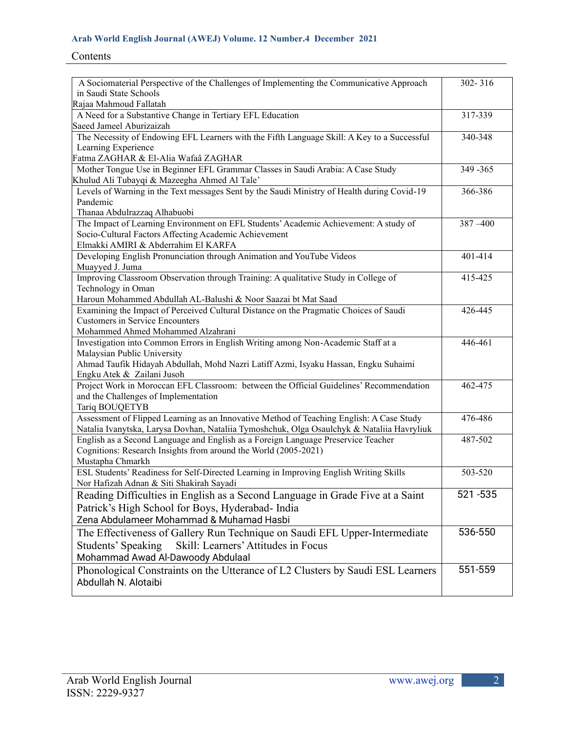# Contents

| A Sociomaterial Perspective of the Challenges of Implementing the Communicative Approach                                                             | 302-316   |
|------------------------------------------------------------------------------------------------------------------------------------------------------|-----------|
| in Saudi State Schools                                                                                                                               |           |
| Rajaa Mahmoud Fallatah                                                                                                                               |           |
| A Need for a Substantive Change in Tertiary EFL Education                                                                                            | 317-339   |
| Saeed Jameel Aburizaizah                                                                                                                             |           |
| The Necessity of Endowing EFL Learners with the Fifth Language Skill: A Key to a Successful                                                          | 340-348   |
| Learning Experience                                                                                                                                  |           |
| Fatma ZAGHAR & El-Alia Wafaâ ZAGHAR                                                                                                                  |           |
| Mother Tongue Use in Beginner EFL Grammar Classes in Saudi Arabia: A Case Study                                                                      | 349 - 365 |
| Khulud Ali Tubayqi & Mazeegha Ahmed Al Tale'<br>Levels of Warning in the Text messages Sent by the Saudi Ministry of Health during Covid-19          | 366-386   |
| Pandemic                                                                                                                                             |           |
| Thanaa Abdulrazzaq Alhabuobi                                                                                                                         |           |
| The Impact of Learning Environment on EFL Students' Academic Achievement: A study of                                                                 | 387 - 400 |
| Socio-Cultural Factors Affecting Academic Achievement                                                                                                |           |
| Elmakki AMIRI & Abderrahim El KARFA                                                                                                                  |           |
| Developing English Pronunciation through Animation and YouTube Videos                                                                                | 401-414   |
| Muayyed J. Juma                                                                                                                                      |           |
| Improving Classroom Observation through Training: A qualitative Study in College of                                                                  | 415-425   |
| Technology in Oman                                                                                                                                   |           |
| Haroun Mohammed Abdullah AL-Balushi & Noor Saazai bt Mat Saad                                                                                        |           |
| Examining the Impact of Perceived Cultural Distance on the Pragmatic Choices of Saudi                                                                | 426-445   |
| <b>Customers in Service Encounters</b>                                                                                                               |           |
| Mohammed Ahmed Mohammed Alzahrani                                                                                                                    |           |
| Investigation into Common Errors in English Writing among Non-Academic Staff at a                                                                    | 446-461   |
| Malaysian Public University                                                                                                                          |           |
| Ahmad Taufik Hidayah Abdullah, Mohd Nazri Latiff Azmi, Isyaku Hassan, Engku Suhaimi                                                                  |           |
| Engku Atek & Zailani Jusoh                                                                                                                           |           |
| Project Work in Moroccan EFL Classroom: between the Official Guidelines' Recommendation                                                              | 462-475   |
| and the Challenges of Implementation                                                                                                                 |           |
| Tariq BOUQETYB                                                                                                                                       |           |
| Assessment of Flipped Learning as an Innovative Method of Teaching English: A Case Study                                                             | 476-486   |
| Natalia Ivanytska, Larysa Dovhan, Nataliia Tymoshchuk, Olga Osaulchyk & Nataliia Havryliuk                                                           |           |
| English as a Second Language and English as a Foreign Language Preservice Teacher<br>Cognitions: Research Insights from around the World (2005-2021) | 487-502   |
| Mustapha Chmarkh                                                                                                                                     |           |
| ESL Students' Readiness for Self-Directed Learning in Improving English Writing Skills                                                               | 503-520   |
| Nor Hafizah Adnan & Siti Shakirah Sayadi                                                                                                             |           |
| Reading Difficulties in English as a Second Language in Grade Five at a Saint                                                                        | 521-535   |
| Patrick's High School for Boys, Hyderabad- India                                                                                                     |           |
| Zena Abdulameer Mohammad & Muhamad Hasbi                                                                                                             |           |
| The Effectiveness of Gallery Run Technique on Saudi EFL Upper-Intermediate                                                                           | 536-550   |
|                                                                                                                                                      |           |
| Students' Speaking<br>Skill: Learners' Attitudes in Focus                                                                                            |           |
| Mohammad Awad Al-Dawoody Abdulaal                                                                                                                    |           |
| Phonological Constraints on the Utterance of L2 Clusters by Saudi ESL Learners                                                                       | 551-559   |
| Abdullah N. Alotaibi                                                                                                                                 |           |
|                                                                                                                                                      |           |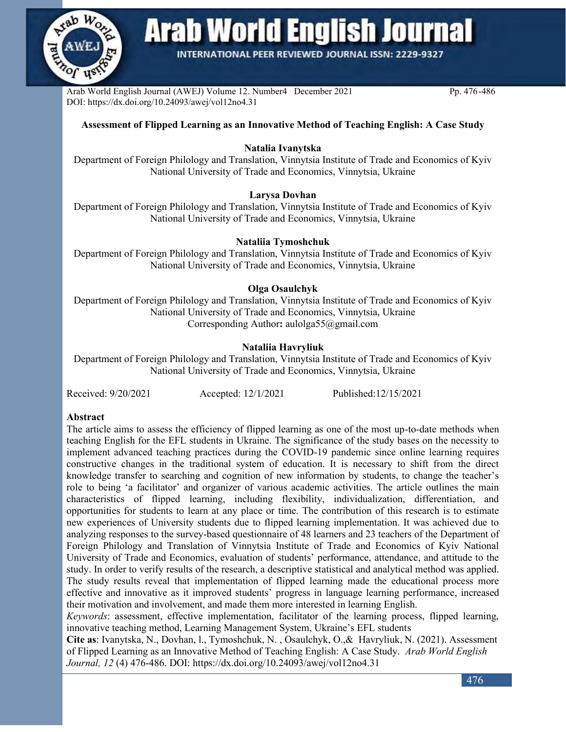

**Arab World English Journal** 

**INTERNATIONAL PEER REVIEWED JOURNAL ISSN: 2229-9327** 

Arab World English Journal (AWEJ) Volume 12. Number4 December 2021 Pp. 476-486 DOI: https://dx.doi.org/10.24093/awej/vol12no4.31

#### **Assessment of Flipped Learning as an Innovative Method of Teaching English: A Case Study**

#### **Natalia Ivanytska**

Department of Foreign Philology and Translation, Vinnytsia Institute of Trade and Economics of Kyiv National University of Trade and Economics, Vinnytsia, Ukraine

#### **Larysa Dovhan**

Department of Foreign Philology and Translation, Vinnytsia Institute of Trade and Economics of Kyiv National University of Trade and Economics, Vinnytsia, Ukraine

#### **Nataliia Tymoshchuk**

Department of Foreign Philology and Translation, Vinnytsia Institute of Trade and Economics of Kyiv National University of Trade and Economics, Vinnytsia, Ukraine

#### **Olga Osaulchyk**

Department of Foreign Philology and Translation, Vinnytsia Institute of Trade and Economics of Kyiv National University of Trade and Economics, Vinnytsia, Ukraine Corresponding Author**:** [aulolga55@gmail.com](mailto:aulolga55@gmail.com)

#### **Nataliia Havryliuk**

Department of Foreign Philology and Translation, Vinnytsia Institute of Trade and Economics of Kyiv National University of Trade and Economics, Vinnytsia, Ukraine

Received: 9/20/2021 Accepted: 12/1/2021 Published:12/15/2021

#### **Abstract**

The article aims to assess the efficiency of flipped learning as one of the most up-to-date methods when teaching English for the EFL students in Ukraine. The significance of the study bases on the necessity to implement advanced teaching practices during the COVID-19 pandemic since online learning requires constructive changes in the traditional system of education. It is necessary to shift from the direct knowledge transfer to searching and cognition of new information by students, to change the teacher's role to being 'a facilitator' and organizer of various academic activities. The article outlines the main characteristics of flipped learning, including flexibility, individualization, differentiation, and opportunities for students to learn at any place or time. The contribution of this research is to estimate new experiences of University students due to flipped learning implementation. It was achieved due to analyzing responses to the survey-based questionnaire of 48 learners and 23 teachers of the Department of Foreign Philology and Translation of Vinnytsia Institute of Trade and Economics of Kyiv National University of Trade and Economics, evaluation of students' performance, attendance, and attitude to the study. In order to verify results of the research, a descriptive statistical and analytical method was applied. The study results reveal that implementation of flipped learning made the educational process more effective and innovative as it improved students' progress in language learning performance, increased their motivation and involvement, and made them more interested in learning English.

*Keywords*: assessment, effective implementation, facilitator of the learning process, flipped learning, innovative teaching method, Learning Management System, Ukraine's EFL students

**Cite as**: Ivanytska, N., Dovhan, l., Tymoshchuk, N. , Osaulchyk, O.,& Havryliuk, N. (2021). Assessment of Flipped Learning as an Innovative Method of Teaching English: A Case Study. *Arab World English Journal, 12* (4) 476-486. DOI: https://dx.doi.org/10.24093/awej/vol12no4.31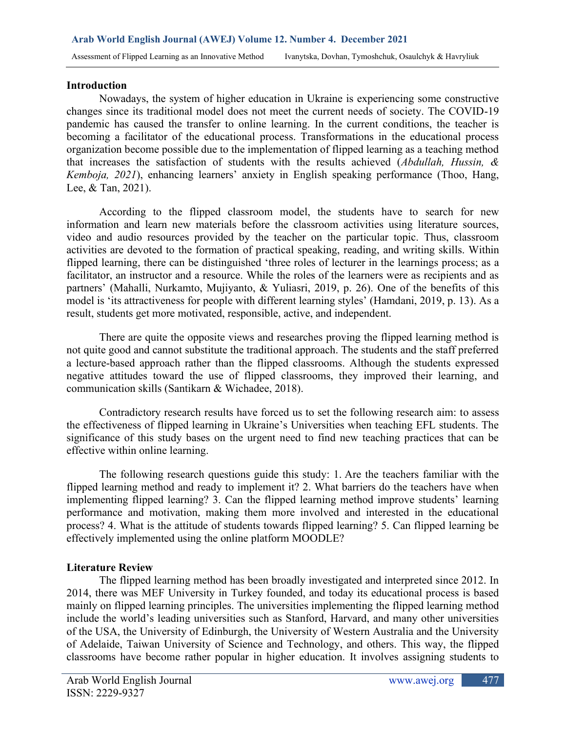#### **Introduction**

Nowadays, the system of higher education in Ukraine is experiencing some constructive changes since its traditional model does not meet the current needs of society. The COVID-19 pandemic has caused the transfer to online learning. In the current conditions, the teacher is becoming a facilitator of the educational process. Transformations in the educational process organization become possible due to the implementation of flipped learning as a teaching method that increases the satisfaction of students with the results achieved (*Abdullah, Hussin, & Kemboja, 2021*), enhancing learners' anxiety in English speaking performance (Thoo, Hang, Lee, & Tan, 2021).

According to the flipped classroom model, the students have to search for new information and learn new materials before the classroom activities using literature sources, video and audio resources provided by the teacher on the particular topic. Thus, classroom activities are devoted to the formation of practical speaking, reading, and writing skills. Within flipped learning, there can be distinguished 'three roles of lecturer in the learnings process; as a facilitator, an instructor and a resource. While the roles of the learners were as recipients and as partners' (Mahalli, Nurkamto, Mujiyanto, & Yuliasri, 2019, p. 26). One of the benefits of this model is 'its attractiveness for people with different learning styles' (Hamdani, 2019, p. 13). As a result, students get more motivated, responsible, active, and independent.

There are quite the opposite views and researches proving the flipped learning method is not quite good and cannot substitute the traditional approach. The students and the staff preferred a lecture-based approach rather than the flipped classrooms. Although the students expressed negative attitudes toward the use of flipped classrooms, they improved their learning, and communication skills (Santikarn & Wichadee, 2018).

Contradictory research results have forced us to set the following research aim: to assess the effectiveness of flipped learning in Ukraine's Universities when teaching EFL students. The significance of this study bases on the urgent need to find new teaching practices that can be effective within online learning.

The following research questions guide this study: 1. Are the teachers familiar with the flipped learning method and ready to implement it? 2. What barriers do the teachers have when implementing flipped learning? 3. Can the flipped learning method improve students' learning performance and motivation, making them more involved and interested in the educational process? 4. What is the attitude of students towards flipped learning? 5. Can flipped learning be effectively implemented using the online platform MOODLE?

# **Literature Review**

The flipped learning method has been broadly investigated and interpreted since 2012. In 2014, there was MEF University in Turkey founded, and today its educational process is based mainly on flipped learning principles. The universities implementing the flipped learning method include the world's leading universities such as Stanford, Harvard, and many other universities of the USA, the University of Edinburgh, the University of Western Australia and the University of Adelaide, Taiwan University of Science and Technology, and others. This way, the flipped classrooms have become rather popular in higher education. It involves assigning students to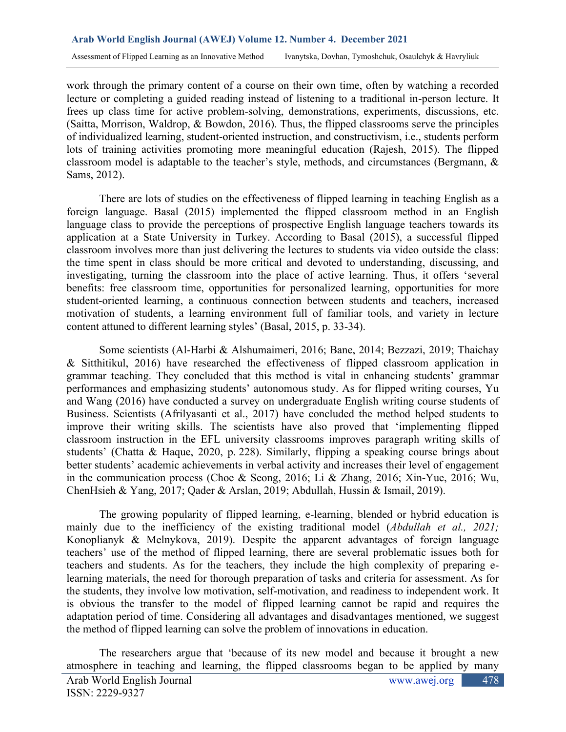work through the primary content of a course on their own time, often by watching a recorded lecture or completing a guided reading instead of listening to a traditional in-person lecture. It frees up class time for active problem-solving, demonstrations, experiments, discussions, etc. (Saitta, Morrison, Waldrop, & Bowdon, 2016). Thus, the flipped classrooms serve the principles of individualized learning, student-oriented instruction, and constructivism, i.e., students perform lots of training activities promoting more meaningful education (Rajesh, 2015). The flipped classroom model is adaptable to the teacher's style, methods, and circumstances (Bergmann, & Sams, 2012).

There are lots of studies on the effectiveness of flipped learning in teaching English as a foreign language. Basal (2015) implemented the flipped classroom method in an English language class to provide the perceptions of prospective English language teachers towards its application at a State University in Turkey. According to Basal (2015), a successful flipped classroom involves more than just delivering the lectures to students via video outside the class: the time spent in class should be more critical and devoted to understanding, discussing, and investigating, turning the classroom into the place of active learning. Thus, it offers 'several benefits: free classroom time, opportunities for personalized learning, opportunities for more student-oriented learning, a continuous connection between students and teachers, increased motivation of students, a learning environment full of familiar tools, and variety in lecture content attuned to different learning styles' (Basal, 2015, p. 33-34).

Some scientists (Al-Harbi & Alshumaimeri, 2016; Bane, 2014; Bezzazi, 2019; Thaichay & Sitthitikul, 2016) have researched the effectiveness of flipped classroom application in grammar teaching. They concluded that this method is vital in enhancing students' grammar performances and emphasizing students' autonomous study. As for flipped writing courses, Yu and Wang (2016) have conducted a survey on undergraduate English writing course students of Business. Scientists (Afrilyasanti et al., 2017) have concluded the method helped students to improve their writing skills. The scientists have also proved that 'implementing flipped classroom instruction in the EFL university classrooms improves paragraph writing skills of students' (Chatta & Haque, 2020, p. 228). Similarly, flipping a speaking course brings about better students' academic achievements in verbal activity and increases their level of engagement in the communication process (Choe & Seong, 2016; Li & Zhang, 2016; Xin-Yue, 2016; Wu, ChenHsieh & Yang, 2017; Qader & Arslan, 2019; Abdullah, Hussin & Ismail, 2019).

The growing popularity of flipped learning, e-learning, blended or hybrid education is mainly due to the inefficiency of the existing traditional model (*Abdullah et al., 2021;* Konoplianyk & Melnykova, 2019). Despite the apparent advantages of foreign language teachers' use of the method of flipped learning, there are several problematic issues both for teachers and students. As for the teachers, they include the high complexity of preparing elearning materials, the need for thorough preparation of tasks and criteria for assessment. As for the students, they involve low motivation, self-motivation, and readiness to independent work. It is obvious the transfer to the model of flipped learning cannot be rapid and requires the adaptation period of time. Considering all advantages and disadvantages mentioned, we suggest the method of flipped learning can solve the problem of innovations in education.

The researchers argue that 'because of its new model and because it brought a new atmosphere in teaching and learning, the flipped classrooms began to be applied by many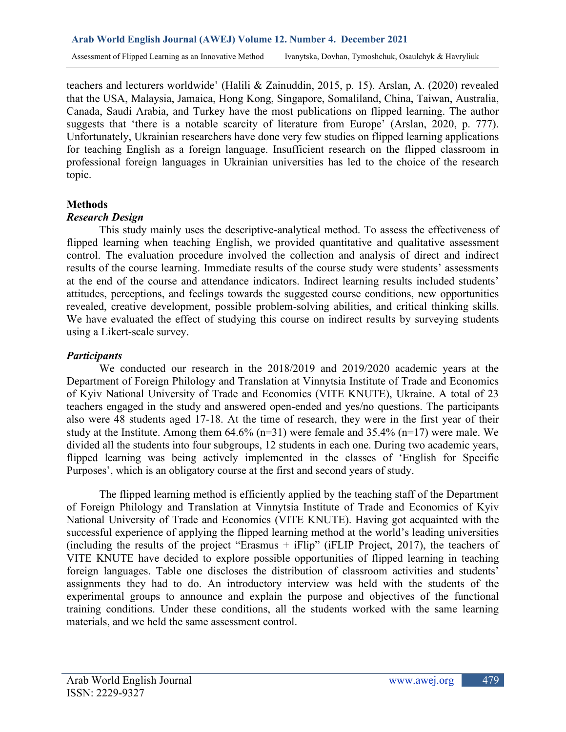teachers and lecturers worldwide' (Halili & Zainuddin, 2015, p. 15). Arslan, A. (2020) revealed that the USA, Malaysia, Jamaica, Hong Kong, Singapore, Somaliland, China, Taiwan, Australia, Canada, Saudi Arabia, and Turkey have the most publications on flipped learning. The author suggests that 'there is a notable scarcity of literature from Europe' (Arslan, 2020, p. 777). Unfortunately, Ukrainian researchers have done very few studies on flipped learning applications for teaching English as a foreign language. Insufficient research on the flipped classroom in professional foreign languages in Ukrainian universities has led to the choice of the research topic.

# **Methods**

# *Research Design*

This study mainly uses the descriptive-analytical method. To assess the effectiveness of flipped learning when teaching English, we provided quantitative and qualitative assessment control. The evaluation procedure involved the collection and analysis of direct and indirect results of the course learning. Immediate results of the course study were students' assessments at the end of the course and attendance indicators. Indirect learning results included students' attitudes, perceptions, and feelings towards the suggested course conditions, new opportunities revealed, creative development, possible problem-solving abilities, and critical thinking skills. We have evaluated the effect of studying this course on indirect results by surveying students using a Likert-scale survey.

# *Participants*

We conducted our research in the 2018/2019 and 2019/2020 academic years at the Department of Foreign Philology and Translation at Vinnytsia Institute of Trade and Economics of Kyiv National University of Trade and Economics (VITE KNUTE), Ukraine. A total of 23 teachers engaged in the study and answered open-ended and yes/no questions. The participants also were 48 students aged 17-18. At the time of research, they were in the first year of their study at the Institute. Among them  $64.6\%$  (n=31) were female and  $35.4\%$  (n=17) were male. We divided all the students into four subgroups, 12 students in each one. During two academic years, flipped learning was being actively implemented in the classes of 'English for Specific Purposes', which is an obligatory course at the first and second years of study.

The flipped learning method is efficiently applied by the teaching staff of the Department of Foreign Philology and Translation at Vinnytsia Institute of Trade and Economics of Kyiv National University of Trade and Economics (VITE KNUTE). Having got acquainted with the successful experience of applying the flipped learning method at the world's leading universities (including the results of the project "Erasmus + iFlip" (iFLIP Project, 2017), the teachers of VITE KNUTE have decided to explore possible opportunities of flipped learning in teaching foreign languages. Table one discloses the distribution of classroom activities and students' assignments they had to do. An introductory interview was held with the students of the experimental groups to announce and explain the purpose and objectives of the functional training conditions. Under these conditions, all the students worked with the same learning materials, and we held the same assessment control.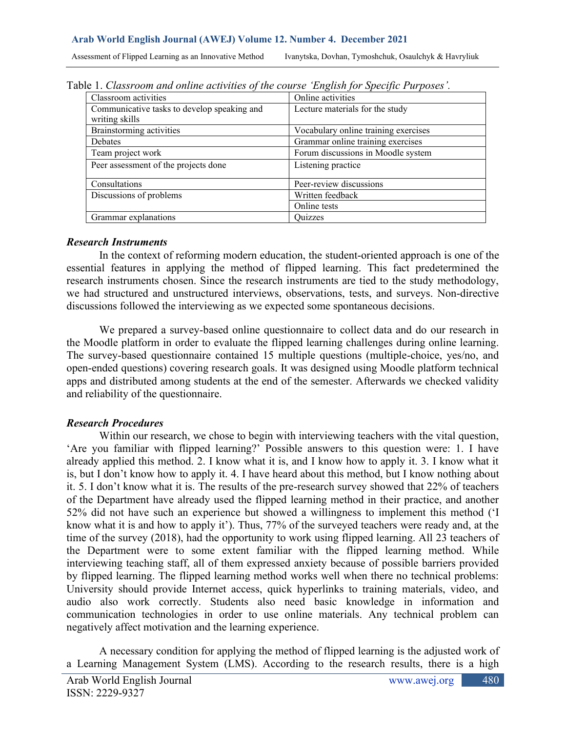| Assessment of Flipped Learning as an Innovative Method Vanytska, Dovhan, Tymoshchuk, Osaulchyk & Havryliuk |  |  |
|------------------------------------------------------------------------------------------------------------|--|--|
|------------------------------------------------------------------------------------------------------------|--|--|

| $\Omega$ . Clussi bom unu ontine activities of the course English for specific 1 urposes . |                                      |  |  |  |
|--------------------------------------------------------------------------------------------|--------------------------------------|--|--|--|
| Classroom activities                                                                       | Online activities                    |  |  |  |
| Communicative tasks to develop speaking and                                                | Lecture materials for the study      |  |  |  |
| writing skills                                                                             |                                      |  |  |  |
| Brainstorming activities                                                                   | Vocabulary online training exercises |  |  |  |
| Debates                                                                                    | Grammar online training exercises    |  |  |  |
| Team project work                                                                          | Forum discussions in Moodle system   |  |  |  |
| Peer assessment of the projects done                                                       | Listening practice                   |  |  |  |
| Consultations                                                                              | Peer-review discussions              |  |  |  |
| Discussions of problems                                                                    | Written feedback                     |  |  |  |
|                                                                                            | Online tests                         |  |  |  |
| Grammar explanations                                                                       | Ouizzes                              |  |  |  |

Table 1. *Classroom and online activities of the course 'English for Specific Purposes'.* 

# *Research Instruments*

In the context of reforming modern education, the student-oriented approach is one of the essential features in applying the method of flipped learning. This fact predetermined the research instruments chosen. Since the research instruments are tied to the study methodology, we had structured and unstructured interviews, observations, tests, and surveys. Non-directive discussions followed the interviewing as we expected some spontaneous decisions.

We prepared a survey-based online questionnaire to collect data and do our research in the Moodle platform in order to evaluate the flipped learning challenges during online learning. The survey-based questionnaire contained 15 multiple questions (multiple-choice, yes/no, and open-ended questions) covering research goals. It was designed using Moodle platform technical apps and distributed among students at the end of the semester. Afterwards we checked validity and reliability of the questionnaire.

# *Research Procedures*

Within our research, we chose to begin with interviewing teachers with the vital question, 'Are you familiar with flipped learning?' Possible answers to this question were: 1. I have already applied this method. 2. I know what it is, and I know how to apply it. 3. I know what it is, but I don't know how to apply it. 4. I have heard about this method, but I know nothing about it. 5. I don't know what it is. The results of the pre-research survey showed that 22% of teachers of the Department have already used the flipped learning method in their practice, and another 52% did not have such an experience but showed a willingness to implement this method ('I know what it is and how to apply it'). Thus, 77% of the surveyed teachers were ready and, at the time of the survey (2018), had the opportunity to work using flipped learning. All 23 teachers of the Department were to some extent familiar with the flipped learning method. While interviewing teaching staff, all of them expressed anxiety because of possible barriers provided by flipped learning. The flipped learning method works well when there no technical problems: University should provide Internet access, quick hyperlinks to training materials, video, and audio also work correctly. Students also need basic knowledge in information and communication technologies in order to use online materials. Any technical problem can negatively affect motivation and the learning experience.

A necessary condition for applying the method of flipped learning is the adjusted work of a Learning Management System (LMS). According to the research results, there is a high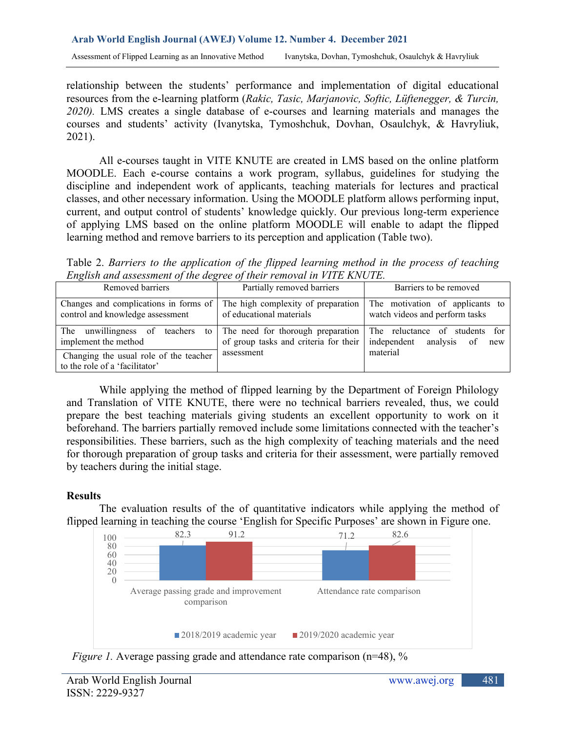relationship between the students' performance and implementation of digital educational resources from the e-learning platform (*Rakic, Tasic, Marjanovic, Softic, Lüftenegger, & Turcin, 2020).* LMS creates a single database of e-courses and learning materials and manages the courses and students' activity (Ivanytska, Tymoshchuk, Dovhan, Osaulchyk, & Havryliuk, 2021).

All e-courses taught in VITE KNUTE are created in LMS based on the online platform MOODLE. Each e-course contains a work program, syllabus, guidelines for studying the discipline and independent work of applicants, teaching materials for lectures and practical classes, and other necessary information. Using the MOODLE platform allows performing input, current, and output control of students' knowledge quickly. Our previous long-term experience of applying LMS based on the online platform MOODLE will enable to adapt the flipped learning method and remove barriers to its perception and application (Table two).

Table 2. *Barriers to the application of the flipped learning method in the process of teaching English and assessment of the degree of their removal in VITE KNUTE.*

| Removed barriers                                                          | Partially removed barriers                                                                                                             | Barriers to be removed                                            |
|---------------------------------------------------------------------------|----------------------------------------------------------------------------------------------------------------------------------------|-------------------------------------------------------------------|
| Changes and complications in forms of<br>control and knowledge assessment | The high complexity of preparation<br>of educational materials                                                                         | The motivation of applicants to<br>watch videos and perform tasks |
| The unwillingness of teachers<br>implement the method                     | to The need for thorough preparation The reluctance of students for<br>of group tasks and criteria for their   independent analysis of | new                                                               |
| Changing the usual role of the teacher<br>to the role of a 'facilitator'  | assessment                                                                                                                             | material                                                          |

While applying the method of flipped learning by the Department of Foreign Philology and Translation of VITE KNUTE, there were no technical barriers revealed, thus, we could prepare the best teaching materials giving students an excellent opportunity to work on it beforehand. The barriers partially removed include some limitations connected with the teacher's responsibilities. These barriers, such as the high complexity of teaching materials and the need for thorough preparation of group tasks and criteria for their assessment, were partially removed by teachers during the initial stage.

# **Results**

The evaluation results of the of quantitative indicators while applying the method of flipped learning in teaching the course 'English for Specific Purposes' are shown in Figure one.



*Figure 1.* Average passing grade and attendance rate comparison (n=48), %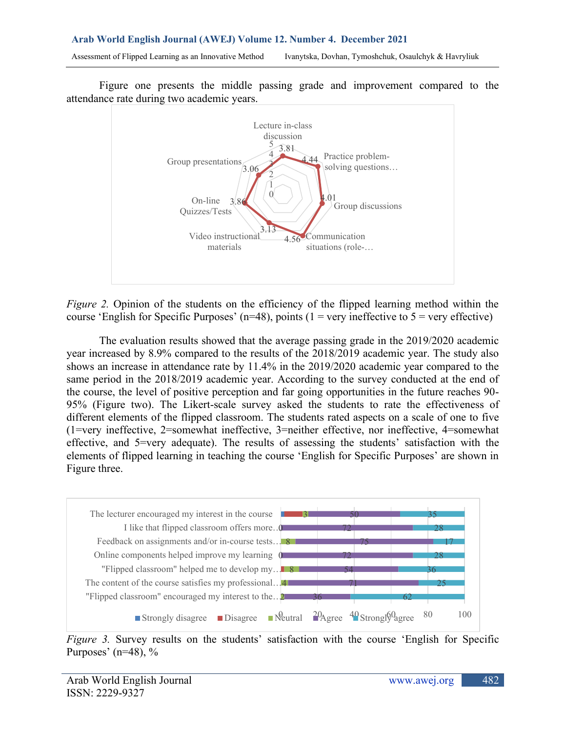Figure one presents the middle passing grade and improvement compared to the attendance rate during two academic years.



*Figure 2.* Opinion of the students on the efficiency of the flipped learning method within the course 'English for Specific Purposes' (n=48), points (1 = very ineffective to 5 = very effective)

The evaluation results showed that the average passing grade in the 2019/2020 academic year increased by 8.9% compared to the results of the 2018/2019 academic year. The study also shows an increase in attendance rate by 11.4% in the 2019/2020 academic year compared to the same period in the 2018/2019 academic year. According to the survey conducted at the end of the course, the level of positive perception and far going opportunities in the future reaches 90- 95% (Figure two). The Likert-scale survey asked the students to rate the effectiveness of different elements of the flipped classroom. The students rated aspects on a scale of one to five (1=very ineffective, 2=somewhat ineffective, 3=neither effective, nor ineffective, 4=somewhat effective, and 5=very adequate). The results of assessing the students' satisfaction with the elements of flipped learning in teaching the course 'English for Specific Purposes' are shown in Figure three.



*Figure 3.* Survey results on the students' satisfaction with the course 'English for Specific Purposes' ( $n=48$ ), %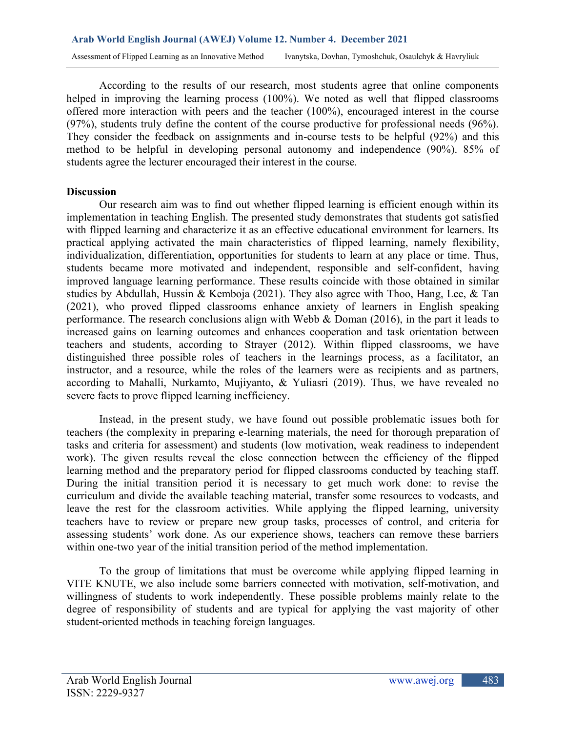According to the results of our research, most students agree that online components helped in improving the learning process (100%). We noted as well that flipped classrooms offered more interaction with peers and the teacher (100%), encouraged interest in the course (97%), students truly define the content of the course productive for professional needs (96%). They consider the feedback on assignments and in-course tests to be helpful (92%) and this method to be helpful in developing personal autonomy and independence (90%). 85% of students agree the lecturer encouraged their interest in the course.

# **Discussion**

Our research aim was to find out whether flipped learning is efficient enough within its implementation in teaching English. The presented study demonstrates that students got satisfied with flipped learning and characterize it as an effective educational environment for learners. Its practical applying activated the main characteristics of flipped learning, namely flexibility, individualization, differentiation, opportunities for students to learn at any place or time. Thus, students became more motivated and independent, responsible and self-confident, having improved language learning performance. These results coincide with those obtained in similar studies by Abdullah, Hussin & Kemboja (2021). They also agree with Thoo, Hang, Lee, & Tan (2021), who proved flipped classrooms enhance anxiety of learners in English speaking performance. The research conclusions align with Webb & Doman (2016), in the part it leads to increased gains on learning outcomes and enhances cooperation and task orientation between teachers and students, according to Strayer (2012). Within flipped classrooms, we have distinguished three possible roles of teachers in the learnings process, as a facilitator, an instructor, and a resource, while the roles of the learners were as recipients and as partners, according to Mahalli, Nurkamto, Mujiyanto, & Yuliasri (2019). Thus, we have revealed no severe facts to prove flipped learning inefficiency.

Instead, in the present study, we have found out possible problematic issues both for teachers (the complexity in preparing e-learning materials, the need for thorough preparation of tasks and criteria for assessment) and students (low motivation, weak readiness to independent work). The given results reveal the close connection between the efficiency of the flipped learning method and the preparatory period for flipped classrooms conducted by teaching staff. During the initial transition period it is necessary to get much work done: to revise the curriculum and divide the available teaching material, transfer some resources to vodcasts, and leave the rest for the classroom activities. While applying the flipped learning, university teachers have to review or prepare new group tasks, processes of control, and criteria for assessing students' work done. As our experience shows, teachers can remove these barriers within one-two year of the initial transition period of the method implementation.

To the group of limitations that must be overcome while applying flipped learning in VITE KNUTE, we also include some barriers connected with motivation, self-motivation, and willingness of students to work independently. These possible problems mainly relate to the degree of responsibility of students and are typical for applying the vast majority of other student-oriented methods in teaching foreign languages.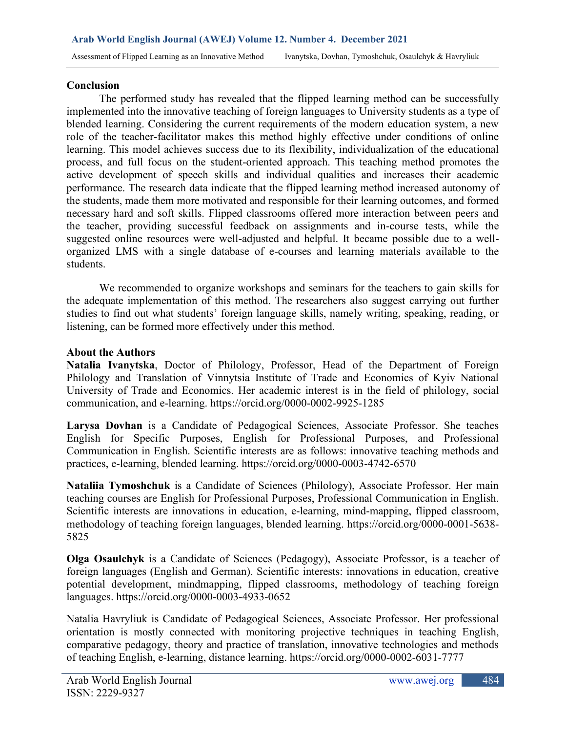#### **Conclusion**

The performed study has revealed that the flipped learning method can be successfully implemented into the innovative teaching of foreign languages to University students as a type of blended learning. Considering the current requirements of the modern education system, a new role of the teacher-facilitator makes this method highly effective under conditions of online learning. This model achieves success due to its flexibility, individualization of the educational process, and full focus on the student-oriented approach. This teaching method promotes the active development of speech skills and individual qualities and increases their academic performance. The research data indicate that the flipped learning method increased autonomy of the students, made them more motivated and responsible for their learning outcomes, and formed necessary hard and soft skills. Flipped classrooms offered more interaction between peers and the teacher, providing successful feedback on assignments and in-course tests, while the suggested online resources were well-adjusted and helpful. It became possible due to a wellorganized LMS with a single database of e-courses and learning materials available to the students.

We recommended to organize workshops and seminars for the teachers to gain skills for the adequate implementation of this method. The researchers also suggest carrying out further studies to find out what students' foreign language skills, namely writing, speaking, reading, or listening, can be formed more effectively under this method.

#### **About the Аuthors**

**Natalia Ivanytska**, Doctor of Philology, Professor, Head of the Department of Foreign Philology and Translation of Vinnytsia Institute of Trade and Economics of Kyiv National University of Trade and Economics. Her academic interest is in the field of philology, social communication, and e-learning.<https://orcid.org/0000-0002-9925-1285>

**Larysa Dovhan** is a Candidate of Pedagogical Sciences, Associate Professor. She teaches English for Specific Purposes, English for Professional Purposes, and Professional Communication in English. Scientific interests are as follows: innovative teaching methods and practices, e-learning, blended learning.<https://orcid.org/0000-0003-4742-6570>

**Nataliia Tymoshchuk** is a Candidate of Sciences (Philology), Associate Professor. Her main teaching courses are English for Professional Purposes, Professional Communication in English. Scientific interests are innovations in education, e-learning, mind-mapping, flipped classroom, methodology of teaching foreign languages, blended learning. [https://orcid.org/0000-0001-5638-](https://orcid.org/0000-0001-5638-5825) [5825](https://orcid.org/0000-0001-5638-5825)

**Olga Osaulchyk** is a Candidate of Sciences (Pedagogy), Associate Professor, is a teacher of foreign languages (English and German). Scientific interests: innovations in education, creative potential development, mindmapping, flipped classrooms, methodology of teaching foreign languages.<https://orcid.org/0000-0003-4933-0652>

Natalia Havryliuk is Candidate of Pedagogical Sciences, Associate Professor. Her professional orientation is mostly connected with monitoring projective techniques in teaching English, comparative pedagogy, theory and practice of translation, innovative technologies and methods of teaching English, e-learning, distance learning.<https://orcid.org/0000-0002-6031-7777>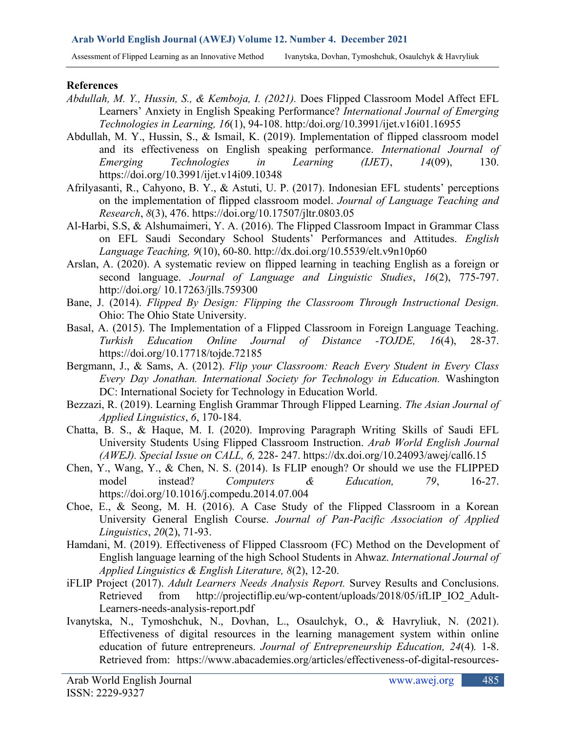Assessment of Flipped Learning as an Innovative Method Ivanytska, Dovhan, Tymoshchuk, Osaulchyk & Havryliuk

#### **References**

- *Abdullah, M. Y., Hussin, S., & Kemboja, I. (2021).* Does Flipped Classroom Model Affect EFL Learners' Anxiety in English Speaking Performance? *International Journal of Emerging Technologies in Learning, 16*(1), 94-108. http:/doi.org[/10.3991/ijet.v16i01.16955](http://dx.doi.org/10.3991/ijet.v16i01.16955)
- Abdullah, M. Y., Hussin, S., & Ismail, K. (2019). Implementation of flipped classroom model and its effectiveness on English speaking performance. *International Journal of Emerging Technologies in Learning (IJET)*, *14*(09), 130. <https://doi.org/10.3991/ijet.v14i09.10348>
- Afrilyasanti, R., Cahyono, B. Y., & Astuti, U. P. (2017). Indonesian EFL students' perceptions on the implementation of flipped classroom model. *Journal of Language Teaching and Research*, *8*(3), 476.<https://doi.org/10.17507/jltr.0803.05>
- Al-Harbi, S.S, & Alshumaimeri, Y. A. (2016). The Flipped Classroom Impact in Grammar Class on EFL Saudi Secondary School Students' Performances and Attitudes. *English Language Teaching, 9*(10), 60-80.<http://dx.doi.org/10.5539/elt.v9n10p60>
- Arslan, A. (2020). A systematic review on flipped learning in teaching English as a foreign or second language. *Journal of Language and Linguistic Studies*, *16*(2), 775-797. http://doi.org/ 10.17263/jlls.759300
- Bane, J. (2014). *Flipped By Design: Flipping the Classroom Through Instructional Design.* Ohio: The Ohio State University.
- Basal, A. (2015). The Implementation of a Flipped Classroom in Foreign Language Teaching. *Turkish Education Online Journal of Distance -TOJDE, 16*(4), 28-37. <https://doi.org/10.17718/tojde.72185>
- Bergmann, J., & Sams, A. (2012). *Flip your Classroom: Reach Every Student in Every Class Every Day Jonathan. International Society for Technology in Education.* Washington DC: International Society for Technology in Education World.
- Bezzazi, R. (2019). Learning English Grammar Through Flipped Learning. *The Asian Journal of Applied Linguistics*, *6*, 170-184.
- Chatta, B. S., & Haque, M. I. (2020). Improving Paragraph Writing Skills of Saudi EFL University Students Using Flipped Classroom Instruction. *Arab World English Journal (AWEJ). Special Issue on CALL, 6,* 228- 247.<https://dx.doi.org/10.24093/awej/call6.15>
- Chen, Y., Wang, Y., & Chen, N. S. (2014). Is FLIP enough? Or should we use the FLIPPED model instead? *Computers & Education, 79*, 16-27. <https://doi.org/10.1016/j.compedu.2014.07.004>
- Choe, E., & Seong, M. H. (2016). A Case Study of the Flipped Classroom in a Korean University General English Course. *Journal of Pan-Pacific Association of Applied Linguistics*, *20*(2), 71-93.
- Hamdani, M. (2019). Effectiveness of Flipped Classroom (FC) Method on the Development of English language learning of the high School Students in Ahwaz. *International Journal of Applied Linguistics & English Literature, 8*(2), 12-20.
- iFLIP Project (2017). *Adult Learners Needs Analysis Report.* Survey Results and Conclusions. Retrieved from [http://projectiflip.eu/wp-content/uploads/2018/05/ifLIP\\_IO2\\_Adult-](http://projectiflip.eu/wp-content/uploads/2018/05/ifLIP_IO2_Adult-Learners-needs-analysis-report.pdf)[Learners-needs-analysis-report.pdf](http://projectiflip.eu/wp-content/uploads/2018/05/ifLIP_IO2_Adult-Learners-needs-analysis-report.pdf)
- Ivanytska, N., Tymoshchuk, N., Dovhan, L., Osaulchyk, O., & Havryliuk, N. (2021). Effectiveness of digital resources in the learning management system within online education of future entrepreneurs. *Journal of Entrepreneurship Education, 24*(4)*.* 1-8. Retrieved from: [https://www.abacademies.org/articles/effectiveness-of-digital-resources-](https://www.abacademies.org/articles/effectiveness-of-digital-resources-in-the-learning-management-system-within-online-education-of-future-entrepreneurs-10533.html)